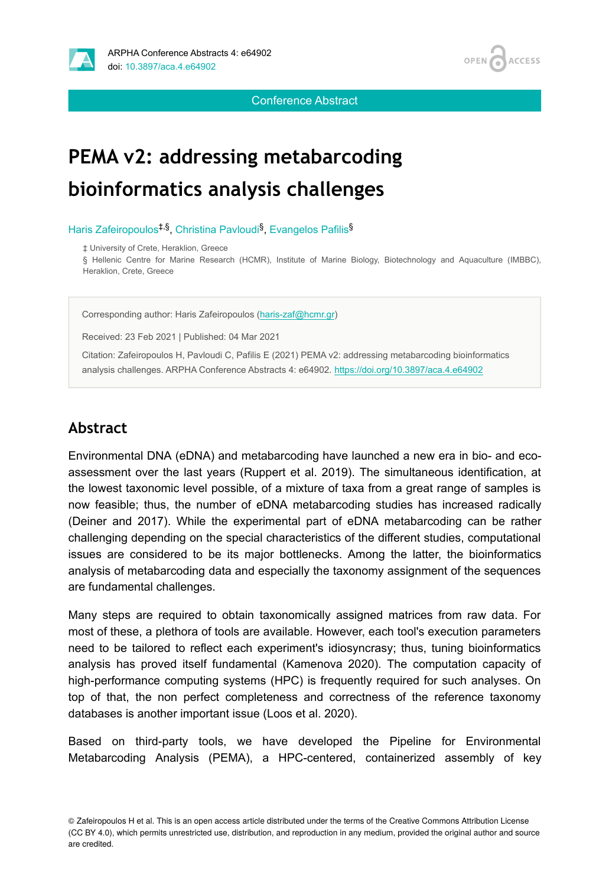

Conference Abstract

# **PEMA v2: addressing metabarcoding bioinformatics analysis challenges**

Haris Zafeiropoulos<sup>‡,§</sup>, Christina Pavloudi<sup>§</sup>, Evangelos Pafilis<sup>§</sup>

‡ University of Crete, Heraklion, Greece

§ Hellenic Centre for Marine Research (HCMR), Institute of Marine Biology, Biotechnology and Aquaculture (IMBBC), Heraklion, Crete, Greece

Corresponding author: Haris Zafeiropoulos ([haris-zaf@hcmr.gr\)](mailto:haris-zaf@hcmr.gr)

Received: 23 Feb 2021 | Published: 04 Mar 2021

Citation: Zafeiropoulos H, Pavloudi C, Pafilis E (2021) PEMA v2: addressing metabarcoding bioinformatics analysis challenges. ARPHA Conference Abstracts 4: e64902. <https://doi.org/10.3897/aca.4.e64902>

# **Abstract**

Environmental DNA (eDNA) and metabarcoding have launched a new era in bio- and ecoassessment over the last years (Ruppert et al. 2019). The simultaneous identification, at the lowest taxonomic level possible, of a mixture of taxa from a great range of samples is now feasible; thus, the number of eDNA metabarcoding studies has increased radically (Deiner and 2017). While the experimental part of eDNA metabarcoding can be rather challenging depending on the special characteristics of the different studies, computational issues are considered to be its major bottlenecks. Among the latter, the bioinformatics analysis of metabarcoding data and especially the taxonomy assignment of the sequences are fundamental challenges.

Many steps are required to obtain taxonomically assigned matrices from raw data. For most of these, a plethora of tools are available. However, each tool's execution parameters need to be tailored to reflect each experiment's idiosyncrasy; thus, tuning bioinformatics analysis has proved itself fundamental (Kamenova 2020). The computation capacity of high-performance computing systems (HPC) is frequently required for such analyses. On top of that, the non perfect completeness and correctness of the reference taxonomy databases is another important issue (Loos et al. 2020).

Based on third-party tools, we have developed the Pipeline for Environmental Metabarcoding Analysis (PEMA), a HPC-centered, containerized assembly of key

<sup>©</sup> Zafeiropoulos H et al. This is an open access article distributed under the terms of the Creative Commons Attribution License (CC BY 4.0), which permits unrestricted use, distribution, and reproduction in any medium, provided the original author and source are credited.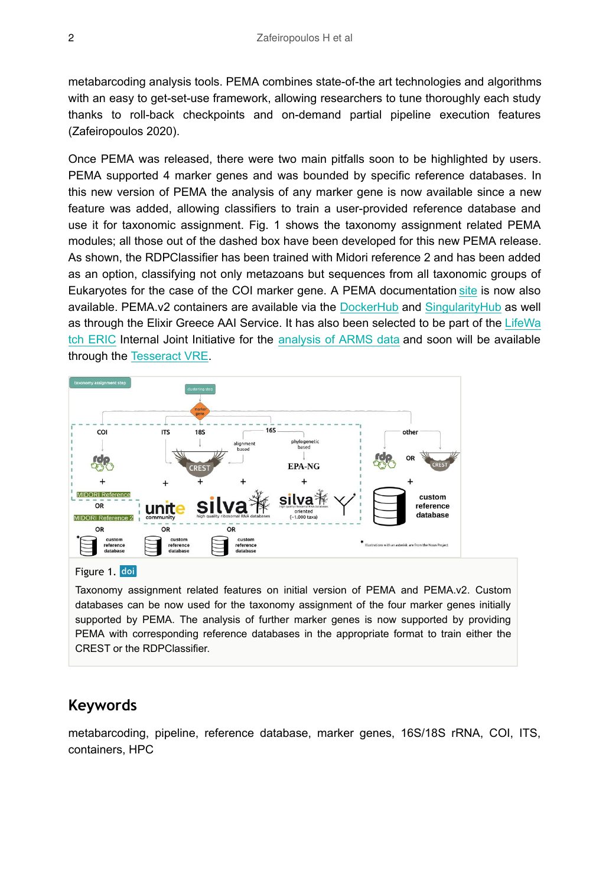metabarcoding analysis tools. PEMA combines state-of-the art technologies and algorithms with an easy to get-set-use framework, allowing researchers to tune thoroughly each study thanks to roll-back checkpoints and on-demand partial pipeline execution features (Zafeiropoulos 2020).

Once PEMA was released, there were two main pitfalls soon to be highlighted by users. PEMA supported 4 marker genes and was bounded by specific reference databases. In this new version of PEMA the analysis of any marker gene is now available since a new feature was added, allowing classifiers to train a user-provided reference database and use it for taxonomic assignment. Fig. 1 shows the taxonomy assignment related PEMA modules; all those out of the dashed box have been developed for this new PEMA release. As shown, the RDPClassifier has been trained with Midori reference 2 and has been added as an option, classifying not only metazoans but sequences from all taxonomic groups of Eukaryotes for the case of the COI marker gene. A PEMA documentation [site](https://hariszaf.github.io/pema_documentation/) is now also available. PEMA.v2 containers are available via the [DockerHub](https://hub.docker.com/r/hariszaf/pema) and [SingularityHub](https://singularity-hub.org/collections/2295) as well as through the Elixir Greece AAI Service. It has also been selected to be part of the [LifeWa](https://www.lifewatch.eu/home) [tch ERIC](https://www.lifewatch.eu/home) Internal Joint Initiative for the [analysis of ARMS data](https://www.lifewatch.eu/iji-2-monitoring-invasive-marine-species) and soon will be available through the [Tesseract VRE.](https://www.lifewatch.dev/dashboard)



#### Figure 1. doi

Taxonomy assignment related features on initial version of PEMA and PEMA.v2. Custom databases can be now used for the taxonomy assignment of the four marker genes initially supported by PEMA. The analysis of further marker genes is now supported by providing PEMA with corresponding reference databases in the appropriate format to train either the CREST or the RDPClassifier.

#### **Keywords**

metabarcoding, pipeline, reference database, marker genes, 16S/18S rRNA, COI, ITS, containers, HPC